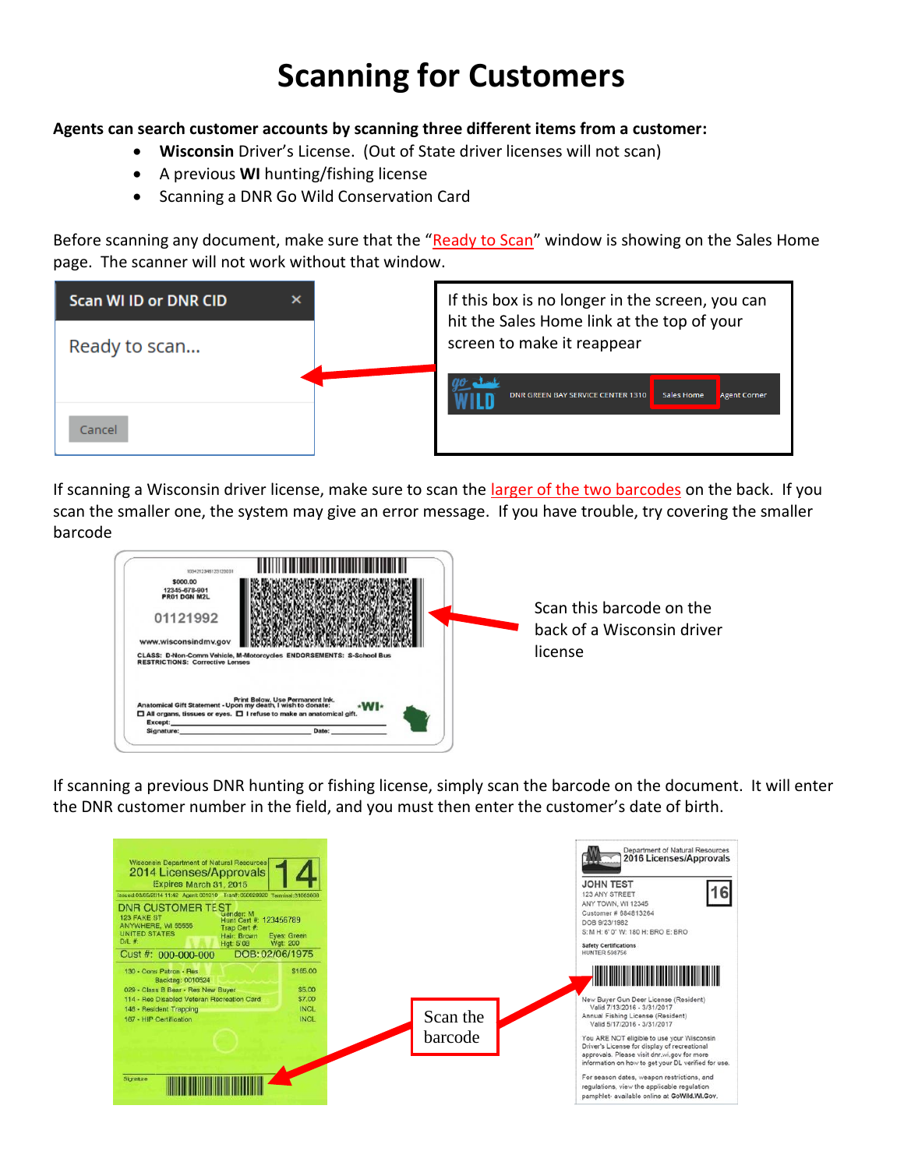## **Scanning for Customers**

## **Agents can search customer accounts by scanning three different items from a customer:**

- **Wisconsin** Driver's License. (Out of State driver licenses will not scan)
- A previous **WI** hunting/fishing license
- Scanning a DNR Go Wild Conservation Card

Before scanning any document, make sure that the "Ready to Scan" window is showing on the Sales Home page. The scanner will not work without that window.



If scanning a Wisconsin driver license, make sure to scan the larger of the two barcodes on the back. If you scan the smaller one, the system may give an error message. If you have trouble, try covering the smaller barcode



If scanning a previous DNR hunting or fishing license, simply scan the barcode on the document. It will enter the DNR customer number in the field, and you must then enter the customer's date of birth.